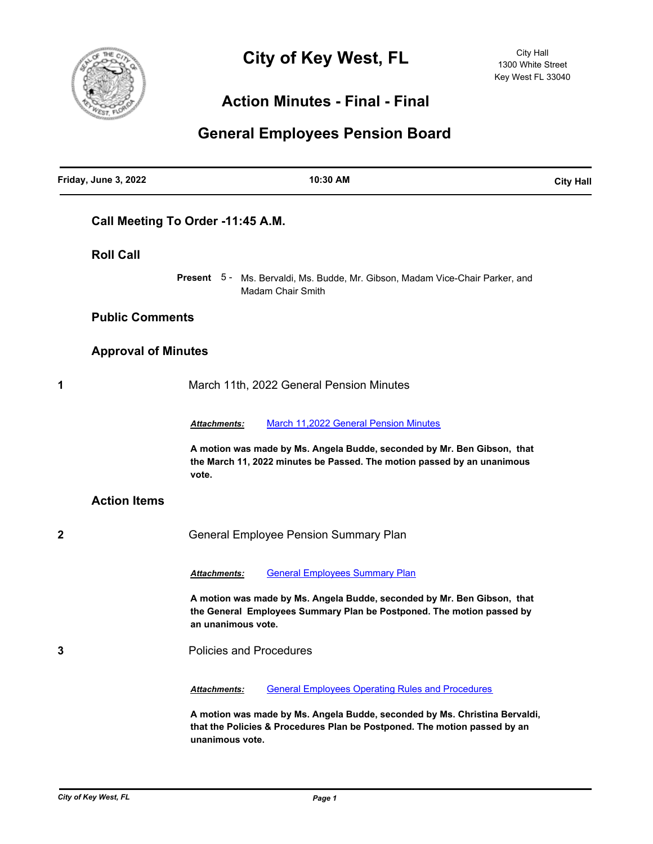

## **City of Key West, FL**

## **Action Minutes - Final - Final**

## **General Employees Pension Board**

| Friday, June 3, 2022       | 10:30 AM                                                                                                                                                                   | <b>City Hall</b> |
|----------------------------|----------------------------------------------------------------------------------------------------------------------------------------------------------------------------|------------------|
|                            | Call Meeting To Order -11:45 A.M.                                                                                                                                          |                  |
| <b>Roll Call</b>           |                                                                                                                                                                            |                  |
|                            | Present 5 - Ms. Bervaldi, Ms. Budde, Mr. Gibson, Madam Vice-Chair Parker, and<br><b>Madam Chair Smith</b>                                                                  |                  |
| <b>Public Comments</b>     |                                                                                                                                                                            |                  |
| <b>Approval of Minutes</b> |                                                                                                                                                                            |                  |
| 1                          | March 11th, 2022 General Pension Minutes                                                                                                                                   |                  |
|                            | <b>March 11,2022 General Pension Minutes</b><br>Attachments:                                                                                                               |                  |
|                            | A motion was made by Ms. Angela Budde, seconded by Mr. Ben Gibson, that<br>the March 11, 2022 minutes be Passed. The motion passed by an unanimous<br>vote.                |                  |
| <b>Action Items</b>        |                                                                                                                                                                            |                  |
| 2                          | <b>General Employee Pension Summary Plan</b>                                                                                                                               |                  |
|                            | <b>General Employees Summary Plan</b><br><b>Attachments:</b>                                                                                                               |                  |
|                            | A motion was made by Ms. Angela Budde, seconded by Mr. Ben Gibson, that<br>the General Employees Summary Plan be Postponed. The motion passed by<br>an unanimous vote.     |                  |
| 3                          | <b>Policies and Procedures</b>                                                                                                                                             |                  |
|                            | <b>General Employees Operating Rules and Procedures</b><br>Attachments:                                                                                                    |                  |
|                            | A motion was made by Ms. Angela Budde, seconded by Ms. Christina Bervaldi,<br>that the Policies & Procedures Plan be Postponed. The motion passed by an<br>unanimous vote. |                  |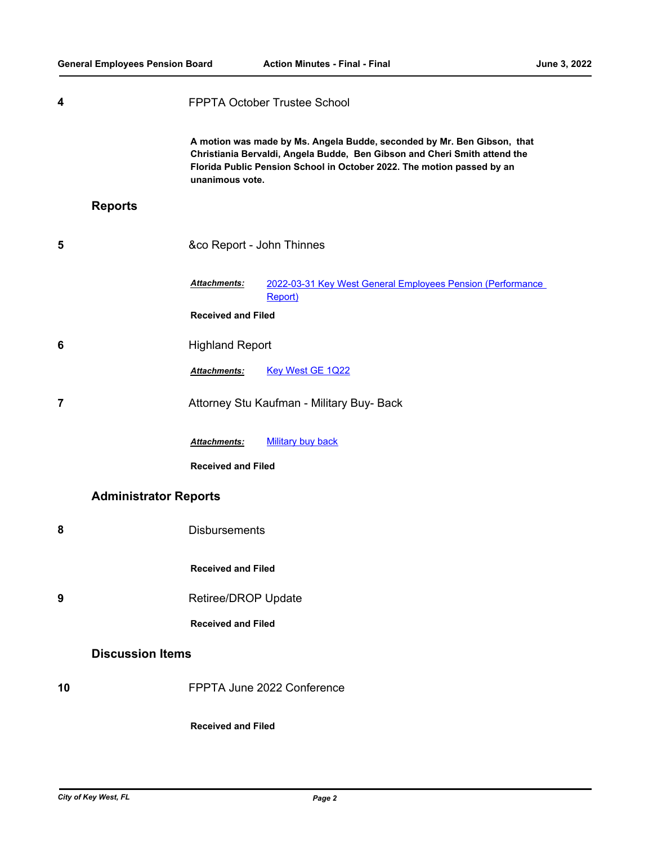| 4              |                              | FPPTA October Trustee School                                                                                                                                                                                                                      |                                                                       |  |  |
|----------------|------------------------------|---------------------------------------------------------------------------------------------------------------------------------------------------------------------------------------------------------------------------------------------------|-----------------------------------------------------------------------|--|--|
|                |                              | A motion was made by Ms. Angela Budde, seconded by Mr. Ben Gibson, that<br>Christiania Bervaldi, Angela Budde, Ben Gibson and Cheri Smith attend the<br>Florida Public Pension School in October 2022. The motion passed by an<br>unanimous vote. |                                                                       |  |  |
|                | <b>Reports</b>               |                                                                                                                                                                                                                                                   |                                                                       |  |  |
| 5              |                              | &co Report - John Thinnes                                                                                                                                                                                                                         |                                                                       |  |  |
|                |                              | Attachments:                                                                                                                                                                                                                                      | 2022-03-31 Key West General Employees Pension (Performance<br>Report) |  |  |
|                |                              | <b>Received and Filed</b>                                                                                                                                                                                                                         |                                                                       |  |  |
| 6              |                              | <b>Highland Report</b>                                                                                                                                                                                                                            |                                                                       |  |  |
|                |                              | Attachments:                                                                                                                                                                                                                                      | Key West GE 1Q22                                                      |  |  |
| $\overline{7}$ |                              | Attorney Stu Kaufman - Military Buy- Back                                                                                                                                                                                                         |                                                                       |  |  |
|                |                              | Attachments:                                                                                                                                                                                                                                      | <b>Military buy back</b>                                              |  |  |
|                |                              | <b>Received and Filed</b>                                                                                                                                                                                                                         |                                                                       |  |  |
|                | <b>Administrator Reports</b> |                                                                                                                                                                                                                                                   |                                                                       |  |  |
| 8              |                              | <b>Disbursements</b>                                                                                                                                                                                                                              |                                                                       |  |  |
|                |                              | <b>Received and Filed</b>                                                                                                                                                                                                                         |                                                                       |  |  |
| 9              |                              | Retiree/DROP Update                                                                                                                                                                                                                               |                                                                       |  |  |
|                |                              | <b>Received and Filed</b>                                                                                                                                                                                                                         |                                                                       |  |  |
|                | <b>Discussion Items</b>      |                                                                                                                                                                                                                                                   |                                                                       |  |  |
| 10             |                              |                                                                                                                                                                                                                                                   | FPPTA June 2022 Conference                                            |  |  |
|                |                              | <b>Received and Filed</b>                                                                                                                                                                                                                         |                                                                       |  |  |